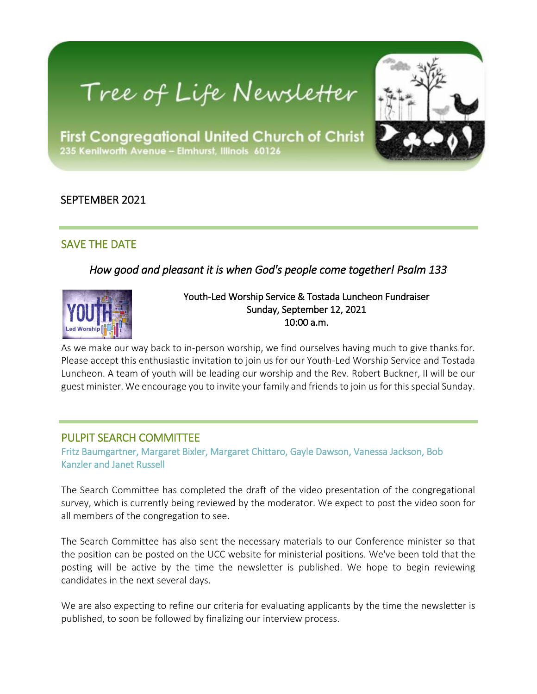# Tree of Life Newsletter



**First Congregational United Church of Christ** 235 Kenilworth Avenue - Elmhurst, Illinois 60126

# SEPTEMBER 2021

# SAVE THE DATE

*How good and pleasant it is when God's people come together! Psalm 133* 



#### Youth-Led Worship Service & Tostada Luncheon Fundraiser Sunday, September 12, 2021 10:00 a.m.

As we make our way back to in-person worship, we find ourselves having much to give thanks for. Please accept this enthusiastic invitation to join us for our Youth-Led Worship Service and Tostada Luncheon. A team of youth will be leading our worship and the Rev. Robert Buckner, II will be our guest minister. We encourage you to invite your family and friends to join us for this special Sunday.

#### PULPIT SEARCH COMMITTEE

Fritz Baumgartner, Margaret Bixler, Margaret Chittaro, Gayle Dawson, Vanessa Jackson, Bob Kanzler and Janet Russell

The Search Committee has completed the draft of the video presentation of the congregational survey, which is currently being reviewed by the moderator. We expect to post the video soon for all members of the congregation to see.

The Search Committee has also sent the necessary materials to our Conference minister so that the position can be posted on the UCC website for ministerial positions. We've been told that the posting will be active by the time the newsletter is published. We hope to begin reviewing candidates in the next several days.

We are also expecting to refine our criteria for evaluating applicants by the time the newsletter is published, to soon be followed by finalizing our interview process.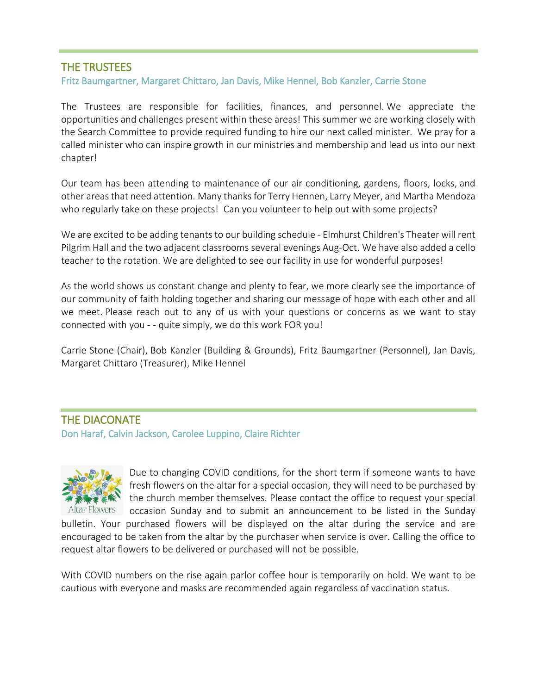#### THE TRUSTEES

#### Fritz Baumgartner, Margaret Chittaro, Jan Davis, Mike Hennel, Bob Kanzler, Carrie Stone

The Trustees are responsible for facilities, finances, and personnel. We appreciate the opportunities and challenges present within these areas! This summer we are working closely with the Search Committee to provide required funding to hire our next called minister. We pray for a called minister who can inspire growth in our ministries and membership and lead us into our next chapter!

Our team has been attending to maintenance of our air conditioning, gardens, floors, locks, and other areas that need attention. Many thanks for Terry Hennen, Larry Meyer, and Martha Mendoza who regularly take on these projects! Can you volunteer to help out with some projects?

We are excited to be adding tenants to our building schedule - Elmhurst Children's Theater will rent Pilgrim Hall and the two adjacent classrooms several evenings Aug-Oct. We have also added a cello teacher to the rotation. We are delighted to see our facility in use for wonderful purposes!

As the world shows us constant change and plenty to fear, we more clearly see the importance of our community of faith holding together and sharing our message of hope with each other and all we meet. Please reach out to any of us with your questions or concerns as we want to stay connected with you - - quite simply, we do this work FOR you!

Carrie Stone (Chair), Bob Kanzler (Building & Grounds), Fritz Baumgartner (Personnel), Jan Davis, Margaret Chittaro (Treasurer), Mike Hennel

#### THE DIACONATE

Don Haraf, Calvin Jackson, Carolee Luppino, Claire Richter



Due to changing COVID conditions, for the short term if someone wants to have fresh flowers on the altar for a special occasion, they will need to be purchased by the church member themselves. Please contact the office to request your special occasion Sunday and to submit an announcement to be listed in the Sunday

bulletin. Your purchased flowers will be displayed on the altar during the service and are encouraged to be taken from the altar by the purchaser when service is over. Calling the office to request altar flowers to be delivered or purchased will not be possible.

With COVID numbers on the rise again parlor coffee hour is temporarily on hold. We want to be cautious with everyone and masks are recommended again regardless of vaccination status.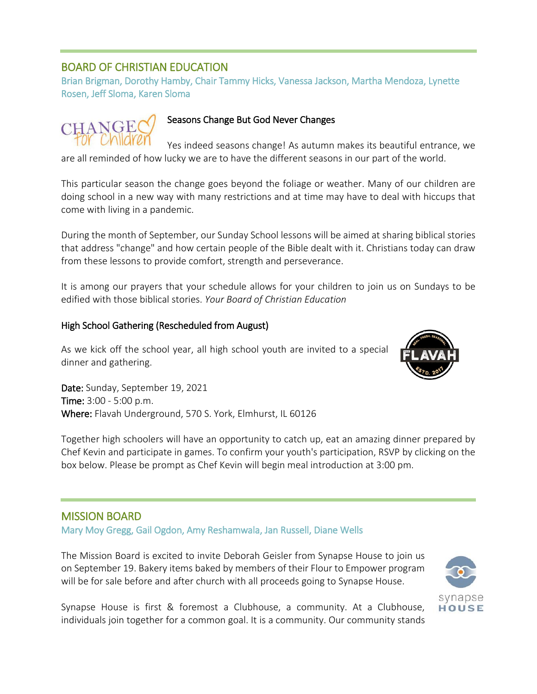### BOARD OF CHRISTIAN EDUCATION

Brian Brigman, Dorothy Hamby, Chair Tammy Hicks, Vanessa Jackson, Martha Mendoza, Lynette Rosen, Jeff Sloma, Karen Sloma

CHANGE

#### Seasons Change But God Never Changes

Yes indeed seasons change! As autumn makes its beautiful entrance, we are all reminded of how lucky we are to have the different seasons in our part of the world.

This particular season the change goes beyond the foliage or weather. Many of our children are doing school in a new way with many restrictions and at time may have to deal with hiccups that come with living in a pandemic.

During the month of September, our Sunday School lessons will be aimed at sharing biblical stories that address "change" and how certain people of the Bible dealt with it. Christians today can draw from these lessons to provide comfort, strength and perseverance.

It is among our prayers that your schedule allows for your children to join us on Sundays to be edified with those biblical stories. *Your Board of Christian Education*

#### High School Gathering (Rescheduled from August)

As we kick off the school year, all high school youth are invited to a special dinner and gathering.

Date: Sunday, September 19, 2021 Time: 3:00 - 5:00 p.m. Where: Flavah Underground, 570 S. York, Elmhurst, IL 60126

Together high schoolers will have an opportunity to catch up, eat an amazing dinner prepared by Chef Kevin and participate in games. To confirm your youth's participation, RSVP by clicking on the box below. Please be prompt as Chef Kevin will begin meal introduction at 3:00 pm.

#### MISSION BOARD

Mary Moy Gregg, Gail Ogdon, Amy Reshamwala, Jan Russell, Diane Wells

The Mission Board is excited to invite Deborah Geisler from Synapse House to join us on September 19. Bakery items baked by members of their Flour to Empower program will be for sale before and after church with all proceeds going to Synapse House.



Synapse House is first & foremost a Clubhouse, a community. At a Clubhouse, individuals join together for a common goal. It is a community. Our community stands

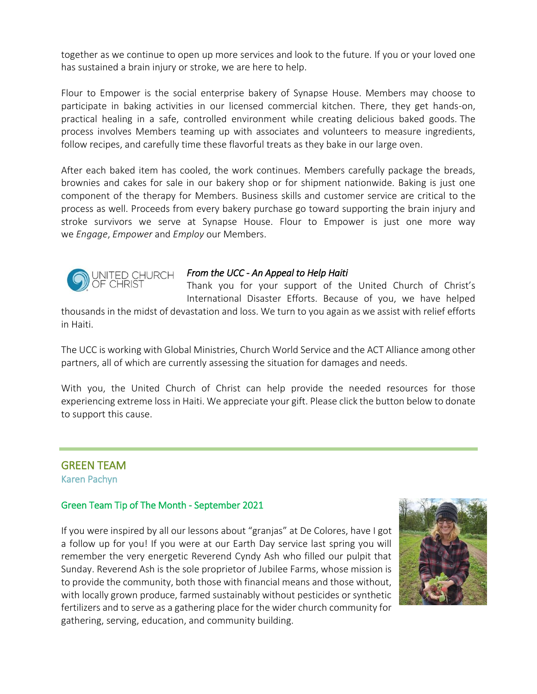together as we continue to open up more services and look to the future. If you or your loved one has sustained a brain injury or stroke, we are here to help.

Flour to Empower is the social enterprise bakery of Synapse House. Members may choose to participate in baking activities in our licensed commercial kitchen. There, they get hands-on, practical healing in a safe, controlled environment while creating delicious baked goods. The process involves Members teaming up with associates and volunteers to measure ingredients, follow recipes, and carefully time these flavorful treats as they bake in our large oven.

After each baked item has cooled, the work continues. Members carefully package the breads, brownies and cakes for sale in our bakery shop or for shipment nationwide. Baking is just one component of the therapy for Members. Business skills and customer service are critical to the process as well. Proceeds from every bakery purchase go toward supporting the brain injury and stroke survivors we serve at Synapse House. Flour to Empower is just one more way we *Engage*, *Empower* and *Employ* our Members.



#### *From the UCC - An Appeal to Help Haiti*

Thank you for your support of the United Church of Christ's International Disaster Efforts. Because of you, we have helped

thousands in the midst of devastation and loss. We turn to you again as we assist with relief efforts in Haiti.

The UCC is working with Global Ministries, Church World Service and the ACT Alliance among other partners, all of which are currently assessing the situation for damages and needs.

With you, the United Church of Christ can help provide the needed resources for those experiencing extreme loss in Haiti. We appreciate your gift. Please click the button below to donate to support this cause.

# GREEN TEAM

Karen Pachyn

#### Green Team Tip of The Month - September 2021

If you were inspired by all our lessons about "granjas" at De Colores, have I got a follow up for you! If you were at our Earth Day service last spring you will remember the very energetic Reverend Cyndy Ash who filled our pulpit that Sunday. Reverend Ash is the sole proprietor of Jubilee Farms, whose mission is to provide the community, both those with financial means and those without, with locally grown produce, farmed sustainably without pesticides or synthetic fertilizers and to serve as a gathering place for the wider church community for gathering, serving, education, and community building.

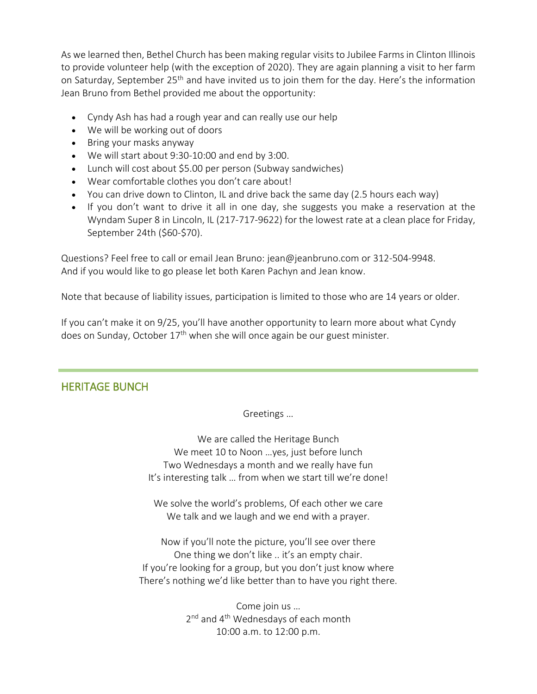As we learned then, Bethel Church has been making regular visits to Jubilee Farms in Clinton Illinois to provide volunteer help (with the exception of 2020). They are again planning a visit to her farm on Saturday, September 25<sup>th</sup> and have invited us to join them for the day. Here's the information Jean Bruno from Bethel provided me about the opportunity:

- Cyndy Ash has had a rough year and can really use our help
- We will be working out of doors
- Bring your masks anyway
- We will start about 9:30-10:00 and end by 3:00.
- Lunch will cost about \$5.00 per person (Subway sandwiches)
- Wear comfortable clothes you don't care about!
- You can drive down to Clinton, IL and drive back the same day (2.5 hours each way)
- If you don't want to drive it all in one day, she suggests you make a reservation at the Wyndam Super 8 in Lincoln, IL (217-717-9622) for the lowest rate at a clean place for Friday, September 24th (\$60-\$70).

Questions? Feel free to call or email Jean Bruno: jean@jeanbruno.com or 312-504-9948. And if you would like to go please let both Karen Pachyn and Jean know.

Note that because of liability issues, participation is limited to those who are 14 years or older.

If you can't make it on 9/25, you'll have another opportunity to learn more about what Cyndy does on Sunday, October 17<sup>th</sup> when she will once again be our guest minister.

# HERITAGE BUNCH

Greetings …

We are called the Heritage Bunch We meet 10 to Noon …yes, just before lunch Two Wednesdays a month and we really have fun It's interesting talk … from when we start till we're done!

We solve the world's problems, Of each other we care We talk and we laugh and we end with a prayer.

Now if you'll note the picture, you'll see over there One thing we don't like .. it's an empty chair. If you're looking for a group, but you don't just know where There's nothing we'd like better than to have you right there.

> Come join us … 2<sup>nd</sup> and 4<sup>th</sup> Wednesdays of each month 10:00 a.m. to 12:00 p.m.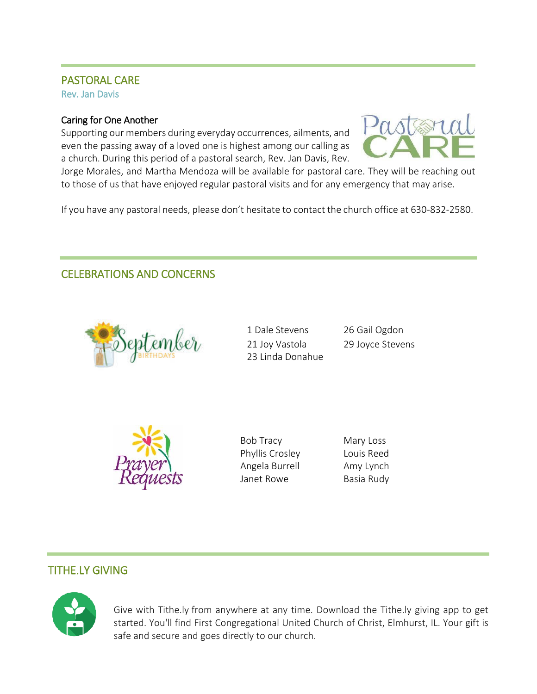#### PASTORAL CARE Rev. Jan Davis

# Caring for One Another

Supporting our members during everyday occurrences, ailments, and even the passing away of a loved one is highest among our calling as a church. During this period of a pastoral search, Rev. Jan Davis, Rev.



Jorge Morales, and Martha Mendoza will be available for pastoral care. They will be reaching out to those of us that have enjoyed regular pastoral visits and for any emergency that may arise.

If you have any pastoral needs, please don't hesitate to contact the church office at 630-832-2580.

# CELEBRATIONS AND CONCERNS



1 Dale Stevens 21 Joy Vastola 23 Linda Donahue 26 Gail Ogdon 29 Joyce Stevens



Bob Tracy Phyllis Crosley Angela Burrell Janet Rowe

Mary Loss Louis Reed Amy Lynch Basia Rudy

# TITHE.LY GIVING



Give with Tithe.ly from anywhere at any time. Download the Tithe.ly giving app to get started. You'll find First Congregational United Church of Christ, Elmhurst, IL. Your gift is safe and secure and goes directly to our church.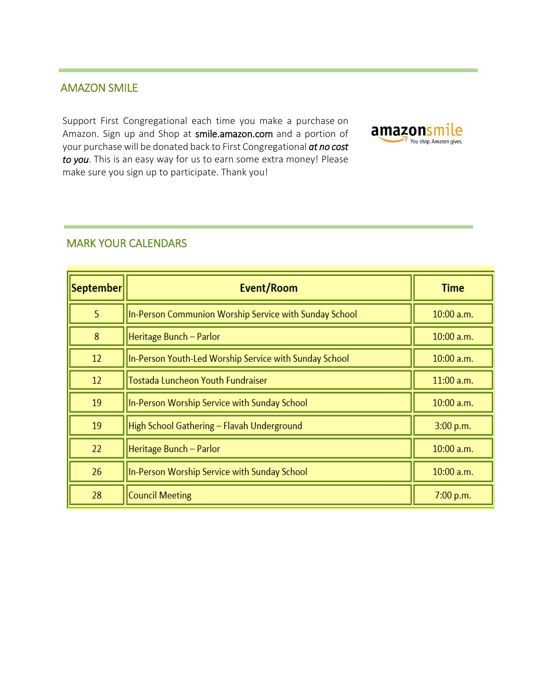# AMAZON SMILE

Support First Congregational each time you make a purchase on Amazon. Sign up and Shop at smile.amazon.com and a portion of your purchase will be donated back to First Congregational *at no cost to you*. This is an easy way for us to earn some extra money! Please make sure you sign up to participate. Thank you!



#### MARK YOUR CALENDARS

| September | Event/Room                                             | Time         |
|-----------|--------------------------------------------------------|--------------|
| 5         | In-Person Communion Worship Service with Sunday School | $10:00$ a.m. |
| 8         | Heritage Bunch - Parlor                                | $10:00$ a.m. |
| 12        | In-Person Youth-Led Worship Service with Sunday School | $10:00$ a.m. |
| 12        | Tostada Luncheon Youth Fundraiser                      | $11:00$ a.m. |
| 19        | In-Person Worship Service with Sunday School           | $10:00$ a.m. |
| 19        | High School Gathering - Flavah Underground             | 3:00 p.m.    |
| 22        | Heritage Bunch - Parlor                                | 10:00 a.m.   |
| 26        | In-Person Worship Service with Sunday School           | $10:00$ a.m. |
| 28        | <b>Council Meeting</b>                                 | 7:00 p.m.    |